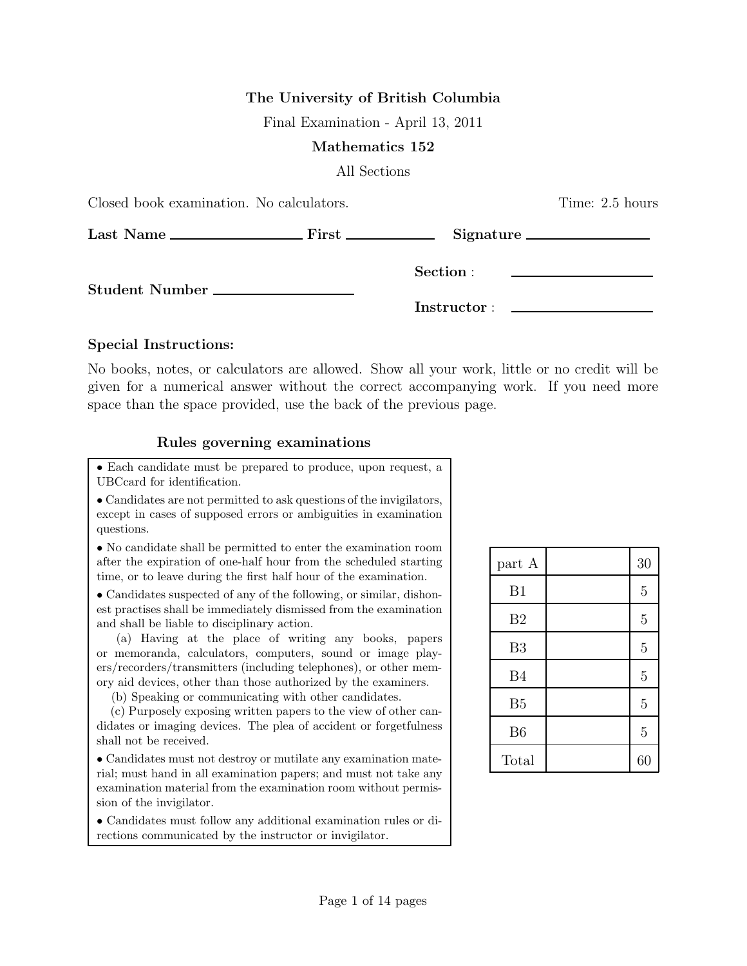## The University of British Columbia

Final Examination - April 13, 2011

#### Mathematics 152

All Sections

Closed book examination. No calculators. Time: 2.5 hours

|                | Section :   |  |
|----------------|-------------|--|
| Student Number | Instructor: |  |

### Special Instructions:

No books, notes, or calculators are allowed. Show all your work, little or no credit will be given for a numerical answer without the correct accompanying work. If you need more space than the space provided, use the back of the previous page.

## Rules governing examinations

• Each candidate must be prepared to produce, upon request, a UBCcard for identification.

• Candidates are not permitted to ask questions of the invigilators, except in cases of supposed errors or ambiguities in examination questions.

• No candidate shall be permitted to enter the examination room after the expiration of one-half hour from the scheduled starting time, or to leave during the first half hour of the examination.

• Candidates suspected of any of the following, or similar, dishonest practises shall be immediately dismissed from the examination and shall be liable to disciplinary action.

(a) Having at the place of writing any books, papers or memoranda, calculators, computers, sound or image players/recorders/transmitters (including telephones), or other memory aid devices, other than those authorized by the examiners.

(b) Speaking or communicating with other candidates.

(c) Purposely exposing written papers to the view of other candidates or imaging devices. The plea of accident or forgetfulness shall not be received.

• Candidates must not destroy or mutilate any examination material; must hand in all examination papers; and must not take any examination material from the examination room without permission of the invigilator.

• Candidates must follow any additional examination rules or directions communicated by the instructor or invigilator.

| part A         | 30             |
|----------------|----------------|
| B1             | $\overline{5}$ |
| B <sub>2</sub> | $\overline{5}$ |
| B <sub>3</sub> | $\overline{5}$ |
| B <sub>4</sub> | $\overline{5}$ |
| B <sub>5</sub> | $\overline{5}$ |
| B <sub>6</sub> | $\overline{5}$ |
| Total          | 60             |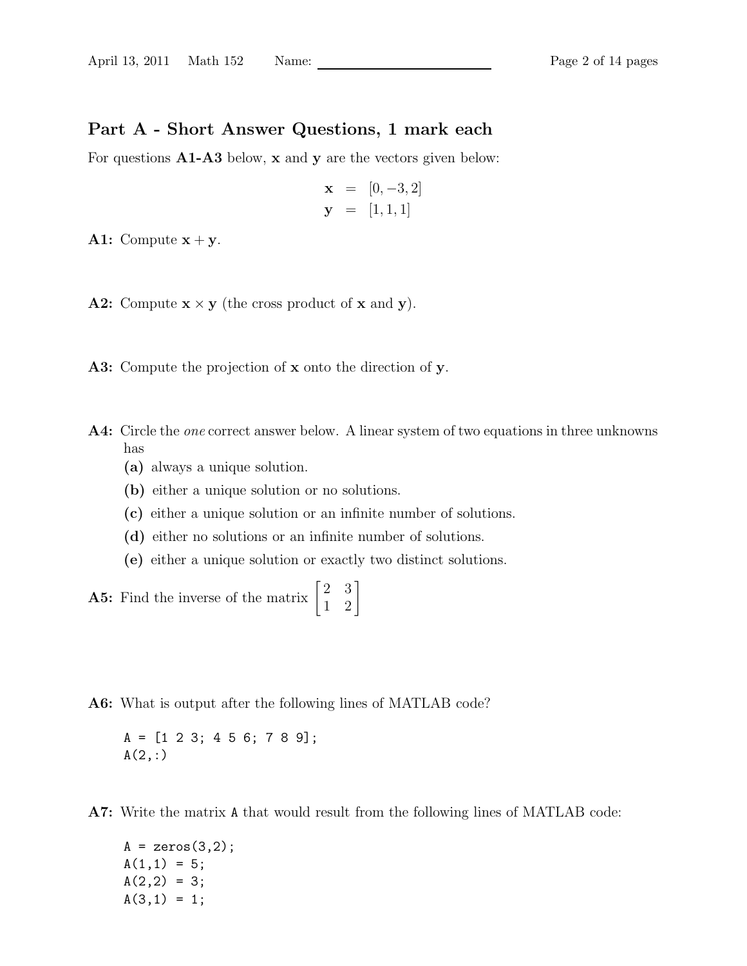# Part A - Short Answer Questions, 1 mark each

For questions **A1-A3** below, **x** and **y** are the vectors given below:

$$
\mathbf{x} = [0, -3, 2] \n\mathbf{y} = [1, 1, 1]
$$

A1: Compute  $x + y$ .

**A2:** Compute  $\mathbf{x} \times \mathbf{y}$  (the cross product of **x** and **y**).

A3: Compute the projection of x onto the direction of y.

- A4: Circle the one correct answer below. A linear system of two equations in three unknowns has
	- (a) always a unique solution.
	- (b) either a unique solution or no solutions.
	- (c) either a unique solution or an infinite number of solutions.
	- (d) either no solutions or an infinite number of solutions.
	- (e) either a unique solution or exactly two distinct solutions.

**A5:** Find the inverse of the matrix  $\begin{bmatrix} 2 & 3 \\ 1 & 2 \end{bmatrix}$ 1 2 1

A6: What is output after the following lines of MATLAB code?

 $A = [1 2 3; 4 5 6; 7 8 9];$  $A(2, :)$ 

A7: Write the matrix A that would result from the following lines of MATLAB code:

 $A = zeros(3, 2);$  $A(1,1) = 5;$  $A(2,2) = 3;$  $A(3,1) = 1;$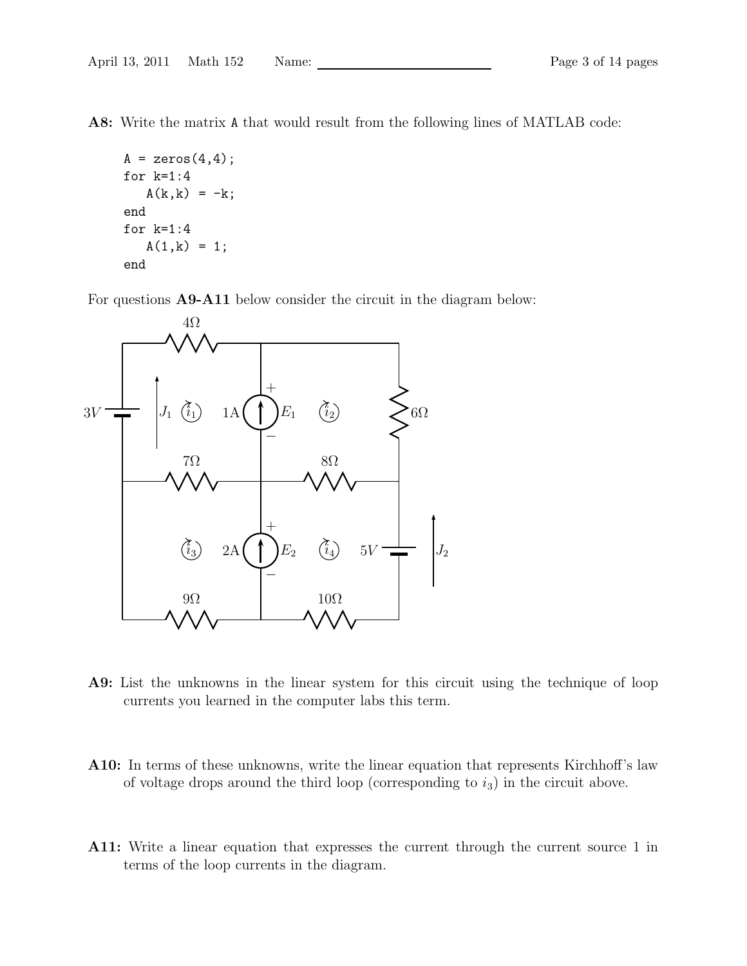A8: Write the matrix A that would result from the following lines of MATLAB code:

```
A = zeros(4, 4);for k=1:4
   A(k, k) = -k;end
for k=1:4
   A(1,k) = 1;end
```
For questions A9-A11 below consider the circuit in the diagram below:



- A9: List the unknowns in the linear system for this circuit using the technique of loop currents you learned in the computer labs this term.
- A10: In terms of these unknowns, write the linear equation that represents Kirchhoff's law of voltage drops around the third loop (corresponding to  $i_3$ ) in the circuit above.
- A11: Write a linear equation that expresses the current through the current source 1 in terms of the loop currents in the diagram.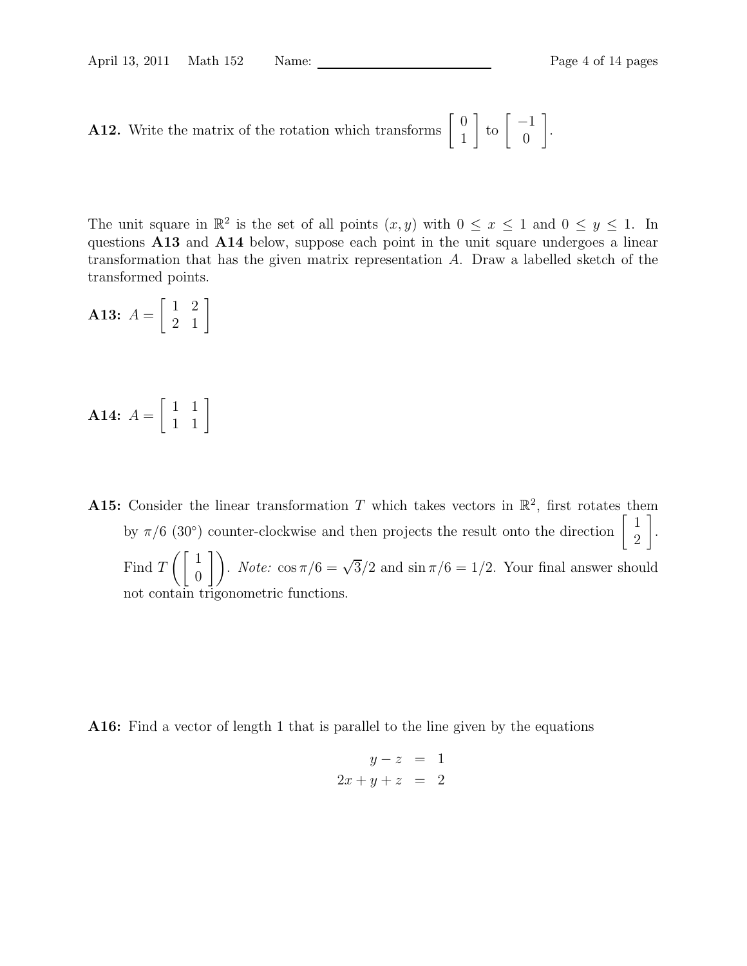**A12.** Write the matrix of the rotation which transforms  $\begin{bmatrix} 0 \\ 1 \end{bmatrix}$ 1  $\Big\lceil \begin{array}{c} -1 \\ 0 \end{array} \Big\rceil$  $\overline{0}$ 1 .

The unit square in  $\mathbb{R}^2$  is the set of all points  $(x, y)$  with  $0 \le x \le 1$  and  $0 \le y \le 1$ . In questions A13 and A14 below, suppose each point in the unit square undergoes a linear transformation that has the given matrix representation A. Draw a labelled sketch of the transformed points.

A13:  $A =$  $\begin{bmatrix} 1 & 2 \end{bmatrix}$ 2 1 1

$$
A14: A = \left[ \begin{array}{cc} 1 & 1 \\ 1 & 1 \end{array} \right]
$$

A15: Consider the linear transformation T which takes vectors in  $\mathbb{R}^2$ , first rotates them by  $\pi/6$  (30°) counter-clockwise and then projects the result onto the direction  $\begin{bmatrix} 1 \\ 2 \end{bmatrix}$ 2 1 . Find T  $\sqrt{1}$  $\begin{pmatrix} 1 \\ 0 \end{pmatrix}$ . *Note:*  $\cos \pi/6 = \sqrt{3}/2$  and  $\sin \pi/6 = 1/2$ . Your final answer should not contain trigonometric functions.

A16: Find a vector of length 1 that is parallel to the line given by the equations

$$
y - z = 1
$$
  

$$
2x + y + z = 2
$$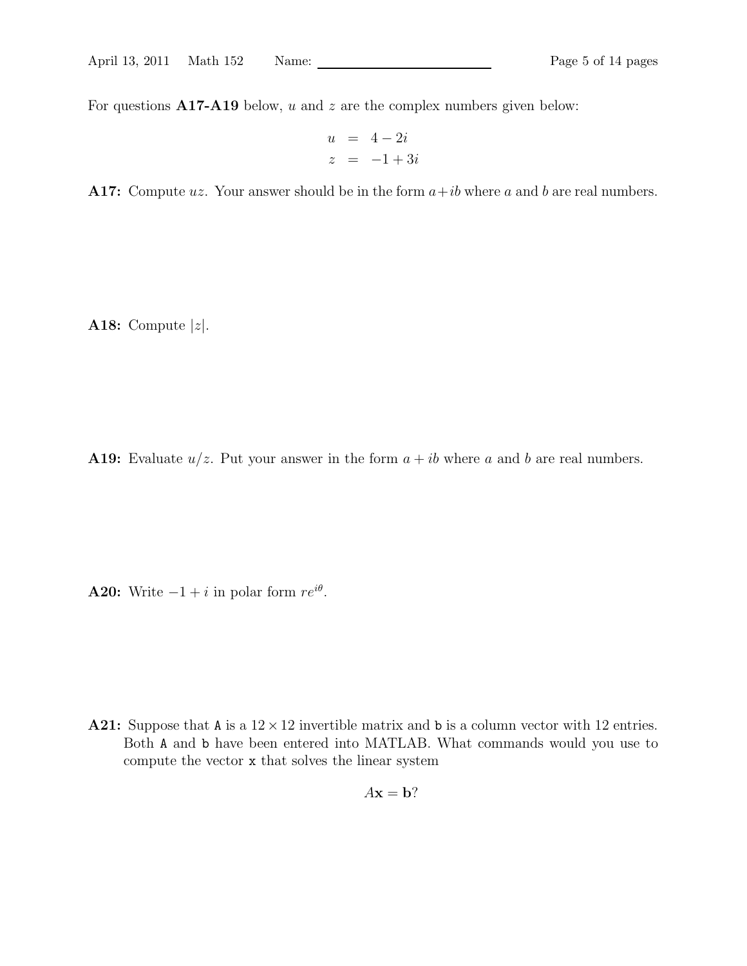For questions  $A17-A19$  below, u and z are the complex numbers given below:

$$
u = 4 - 2i
$$
  

$$
z = -1 + 3i
$$

A17: Compute uz. Your answer should be in the form  $a+ib$  where a and b are real numbers.

A18: Compute  $|z|$ .

A19: Evaluate  $u/z$ . Put your answer in the form  $a + ib$  where a and b are real numbers.

**A20:** Write  $-1 + i$  in polar form  $re^{i\theta}$ .

A21: Suppose that A is a  $12 \times 12$  invertible matrix and b is a column vector with 12 entries. Both A and b have been entered into MATLAB. What commands would you use to compute the vector x that solves the linear system

$$
A\mathbf{x} = \mathbf{b}
$$
?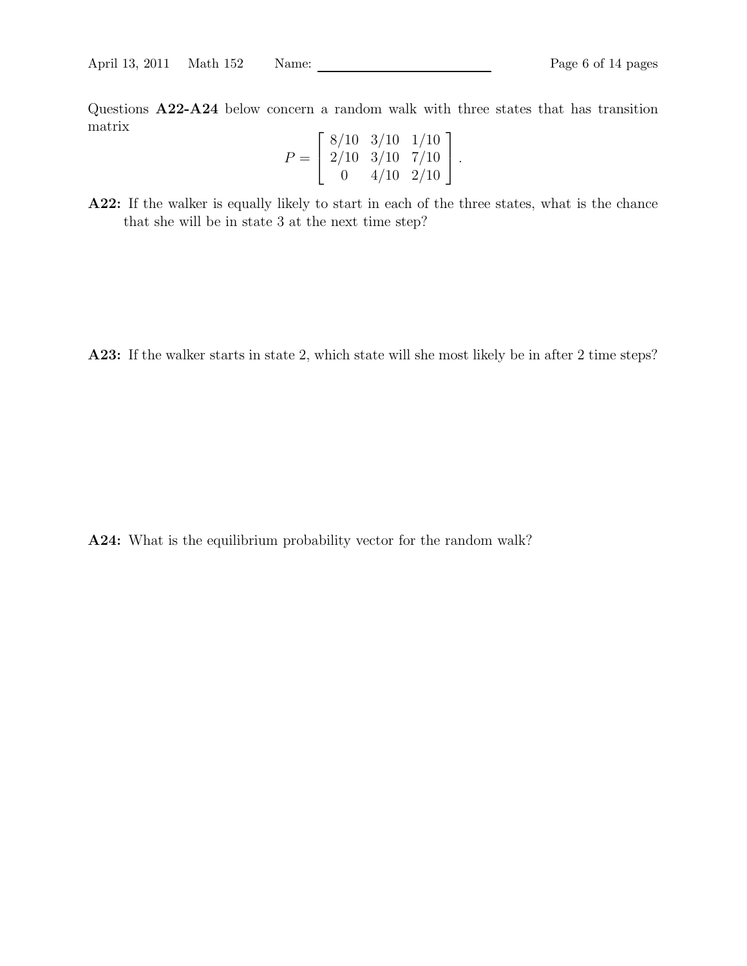Questions A22-A24 below concern a random walk with three states that has transition matrix  $\overline{1}$ 

$$
P = \left[ \begin{array}{rrr} 8/10 & 3/10 & 1/10 \\ 2/10 & 3/10 & 7/10 \\ 0 & 4/10 & 2/10 \end{array} \right].
$$

A22: If the walker is equally likely to start in each of the three states, what is the chance that she will be in state 3 at the next time step?

A23: If the walker starts in state 2, which state will she most likely be in after 2 time steps?

A24: What is the equilibrium probability vector for the random walk?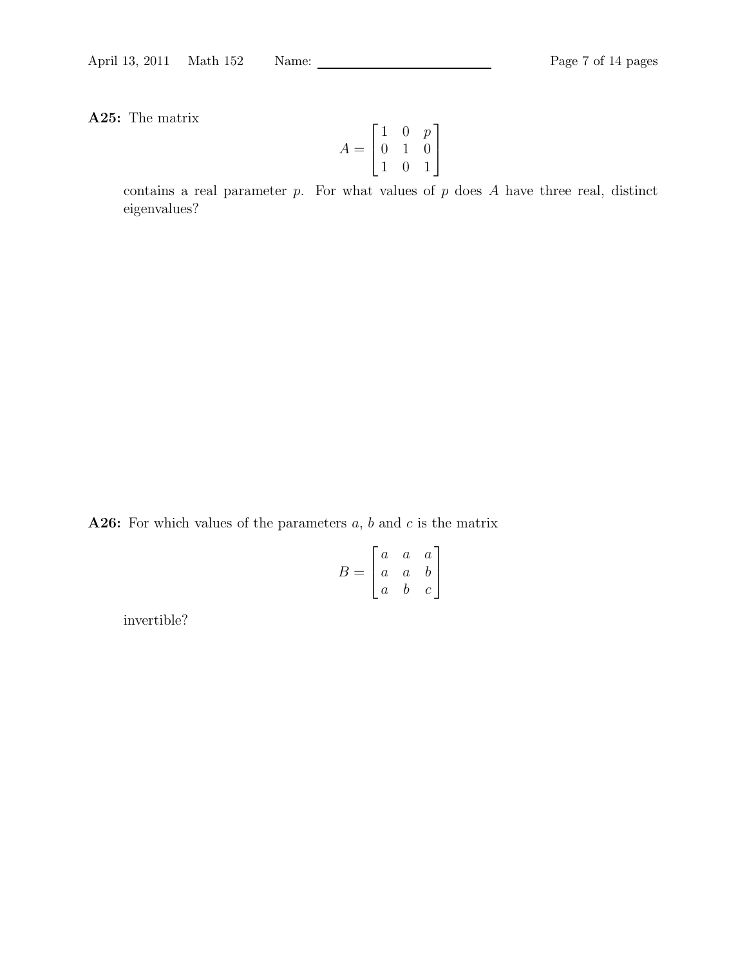A25: The matrix

$$
A = \begin{bmatrix} 1 & 0 & p \\ 0 & 1 & 0 \\ 1 & 0 & 1 \end{bmatrix}
$$

contains a real parameter  $p$ . For what values of  $p$  does  $A$  have three real, distinct eigenvalues?

A26: For which values of the parameters  $a, b$  and  $c$  is the matrix

$$
B = \begin{bmatrix} a & a & a \\ a & a & b \\ a & b & c \end{bmatrix}
$$

invertible?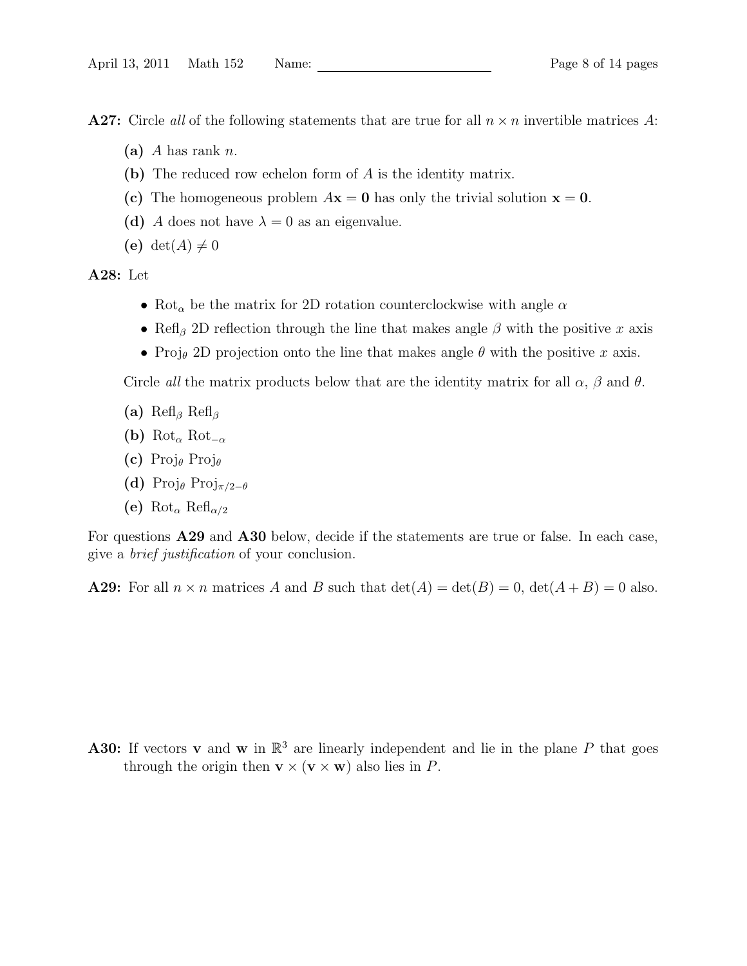**A27:** Circle all of the following statements that are true for all  $n \times n$  invertible matrices A:

- (a) A has rank n.
- (b) The reduced row echelon form of A is the identity matrix.
- (c) The homogeneous problem  $A\mathbf{x} = \mathbf{0}$  has only the trivial solution  $\mathbf{x} = \mathbf{0}$ .
- (d) A does not have  $\lambda = 0$  as an eigenvalue.
- (e) det(A)  $\neq 0$

A28: Let

- Rot<sub> $\alpha$ </sub> be the matrix for 2D rotation counterclockwise with angle  $\alpha$
- Refl<sub>β</sub> 2D reflection through the line that makes angle  $\beta$  with the positive x axis
- Proj<sub>θ</sub> 2D projection onto the line that makes angle  $\theta$  with the positive x axis.

Circle all the matrix products below that are the identity matrix for all  $\alpha$ ,  $\beta$  and  $\theta$ .

- (a) Refl<sub>β</sub> Refl<sub>β</sub>
- (b) Rot<sub>α</sub> Rot<sub>-α</sub>
- (c)  $\text{Proj}_{\theta}$  Proj $_{\theta}$
- (d) Proj<sub>θ</sub> Proj<sub>π/2−θ</sub>
- (e) Rot<sub>α</sub> Refl<sub>α/2</sub>

For questions A29 and A30 below, decide if the statements are true or false. In each case, give a brief justification of your conclusion.

**A29:** For all  $n \times n$  matrices A and B such that  $\det(A) = \det(B) = 0$ ,  $\det(A + B) = 0$  also.

**A30:** If vectors **v** and **w** in  $\mathbb{R}^3$  are linearly independent and lie in the plane P that goes through the origin then  $\mathbf{v} \times (\mathbf{v} \times \mathbf{w})$  also lies in P.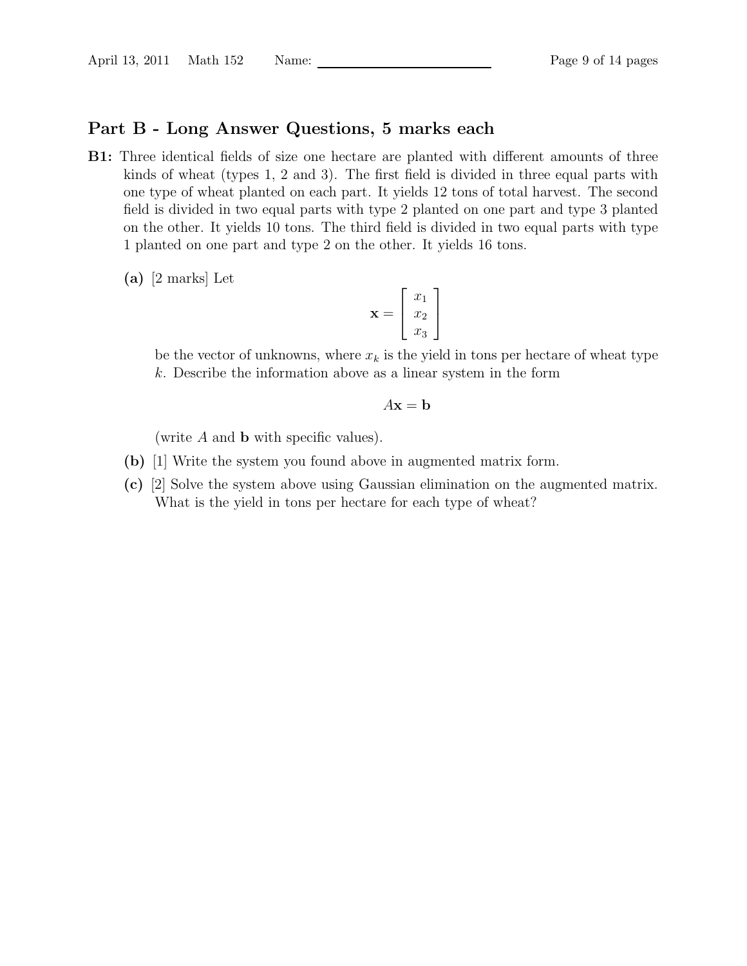### Part B - Long Answer Questions, 5 marks each

- B1: Three identical fields of size one hectare are planted with different amounts of three kinds of wheat (types 1, 2 and 3). The first field is divided in three equal parts with one type of wheat planted on each part. It yields 12 tons of total harvest. The second field is divided in two equal parts with type 2 planted on one part and type 3 planted on the other. It yields 10 tons. The third field is divided in two equal parts with type 1 planted on one part and type 2 on the other. It yields 16 tons.
	- (a) [2 marks] Let

$$
\mathbf{x} = \begin{bmatrix} x_1 \\ x_2 \\ x_3 \end{bmatrix}
$$

be the vector of unknowns, where  $x_k$  is the yield in tons per hectare of wheat type k. Describe the information above as a linear system in the form

$$
A\mathbf{x} = \mathbf{b}
$$

(write A and b with specific values).

- (b) [1] Write the system you found above in augmented matrix form.
- (c) [2] Solve the system above using Gaussian elimination on the augmented matrix. What is the yield in tons per hectare for each type of wheat?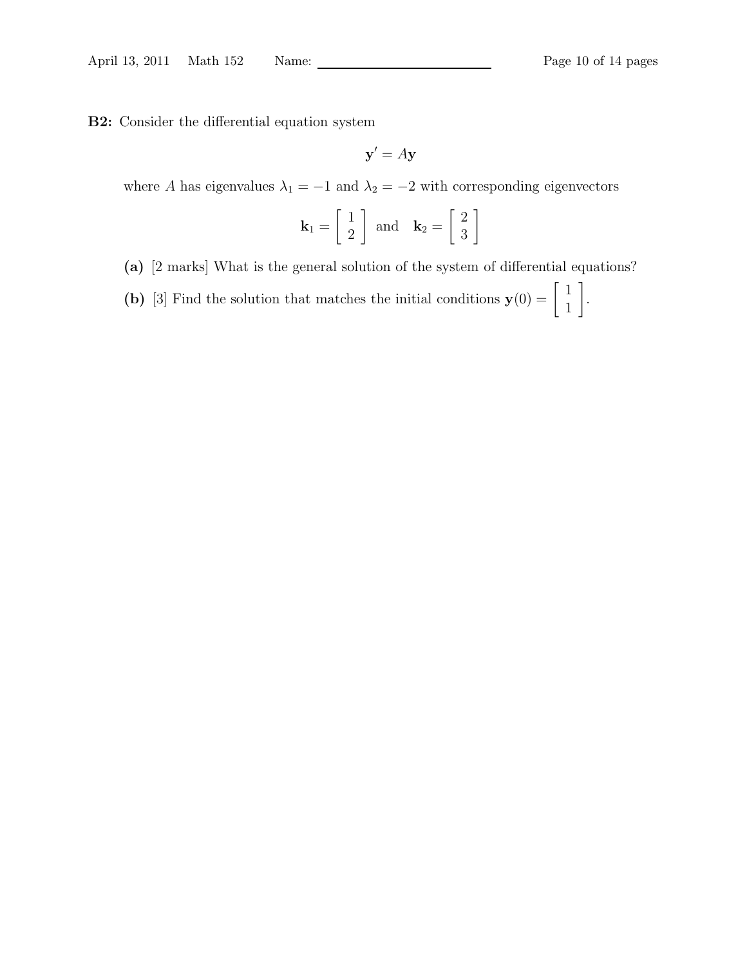$$
\mathbf{y}' = A\mathbf{y}
$$

where A has eigenvalues  $\lambda_1 = -1$  and  $\lambda_2 = -2$  with corresponding eigenvectors

$$
\mathbf{k}_1 = \left[ \begin{array}{c} 1 \\ 2 \end{array} \right] \text{ and } \mathbf{k}_2 = \left[ \begin{array}{c} 2 \\ 3 \end{array} \right]
$$

(a) [2 marks] What is the general solution of the system of differential equations?

(b) [3] Find the solution that matches the initial conditions  $y(0) =$  $\lceil 1 \rceil$ 1 1 .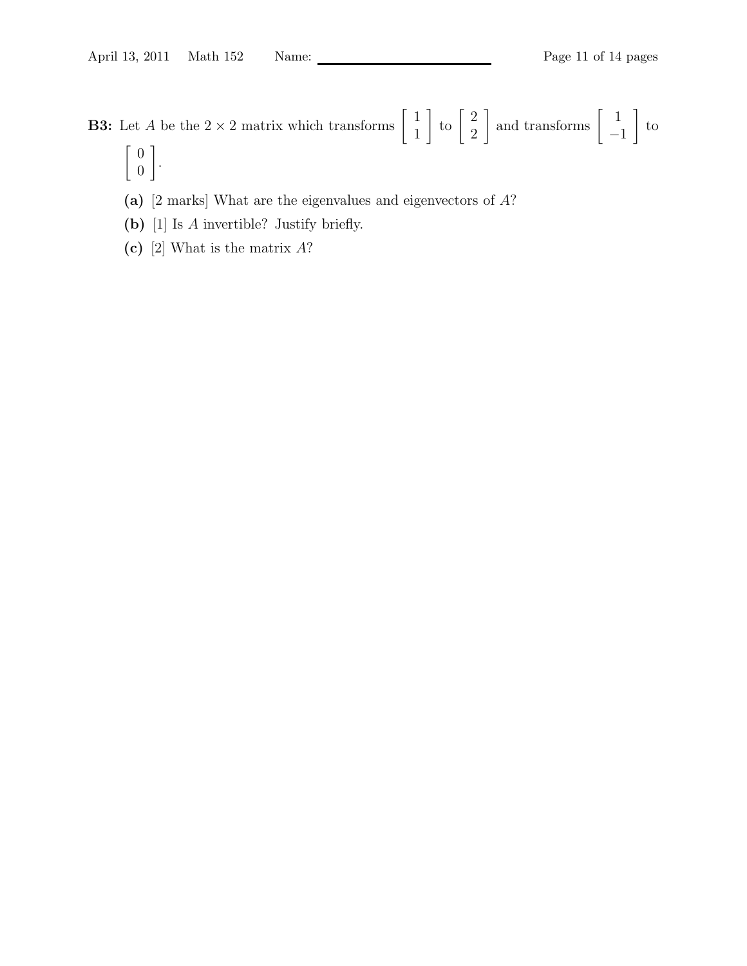- **B3:** Let A be the  $2 \times 2$  matrix which transforms  $\begin{bmatrix} 1 \\ 1 \end{bmatrix}$ 1  $\frac{1}{\log 2}$ 2  $\Big]$  and transforms  $\Big[$   $\Big]$ −1 1 to  $\begin{bmatrix} 0 \\ 0 \end{bmatrix}$  $\overline{0}$ 1 .
	- (a) [2 marks] What are the eigenvalues and eigenvectors of A?
	- (b) [1] Is A invertible? Justify briefly.
	- (c) [2] What is the matrix  $A$ ?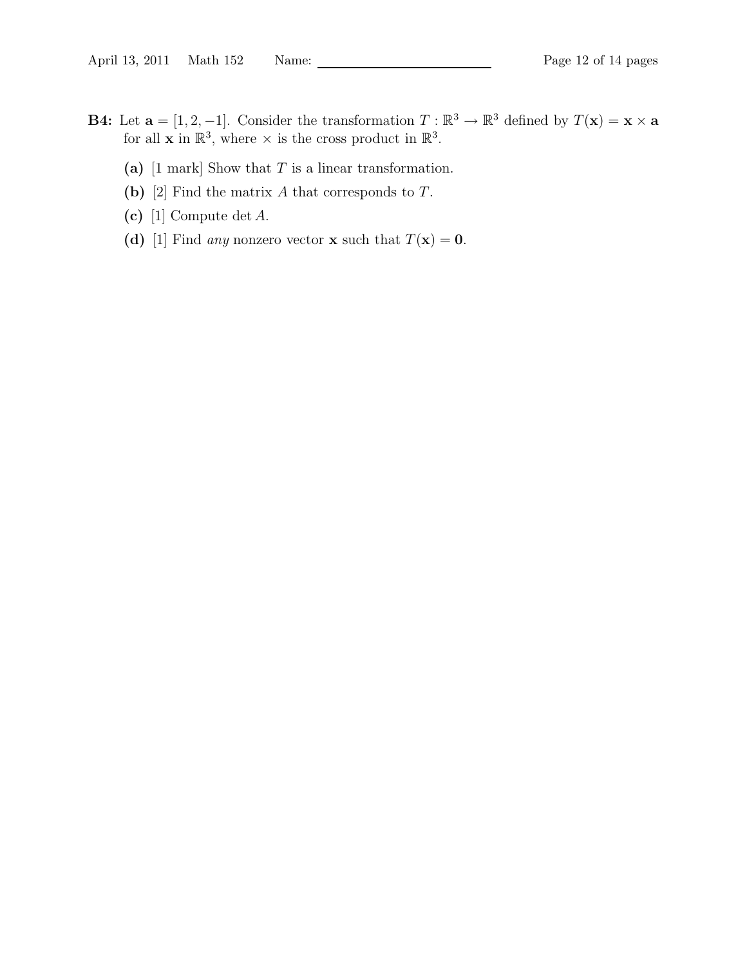- **B4:** Let  $\mathbf{a} = [1, 2, -1]$ . Consider the transformation  $T : \mathbb{R}^3 \to \mathbb{R}^3$  defined by  $T(\mathbf{x}) = \mathbf{x} \times \mathbf{a}$ for all **x** in  $\mathbb{R}^3$ , where  $\times$  is the cross product in  $\mathbb{R}^3$ .
	- (a)  $[1 \text{ mark}]$  Show that T is a linear transformation.
	- (b) [2] Find the matrix  $A$  that corresponds to  $T$ .
	- (c) [1] Compute det  $A$ .
	- (d) [1] Find *any* nonzero vector **x** such that  $T(\mathbf{x}) = \mathbf{0}$ .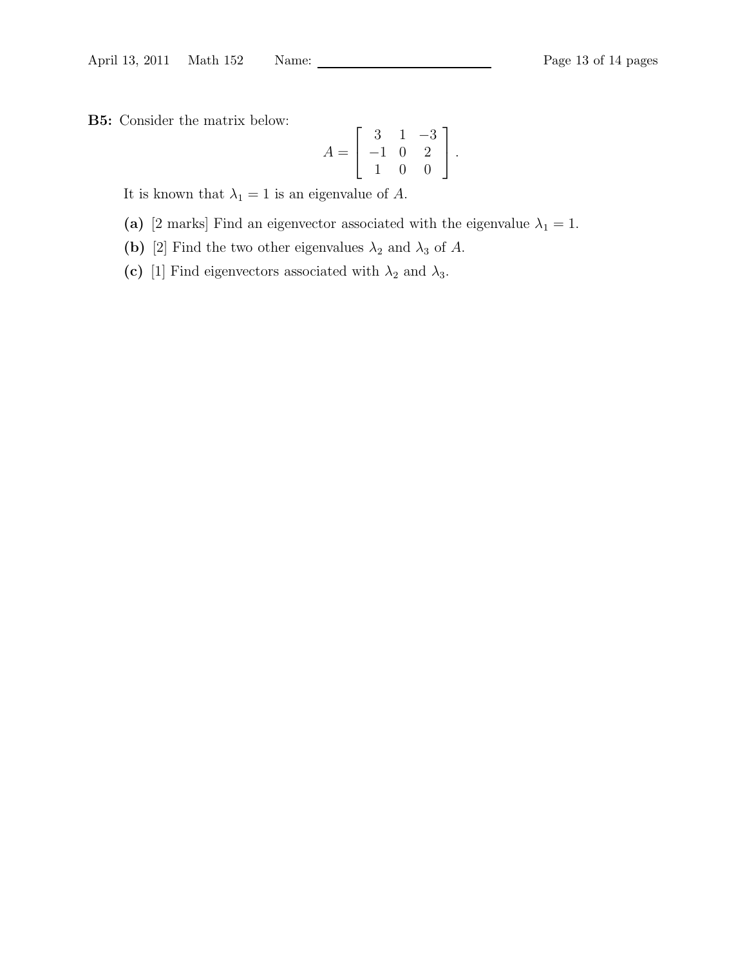B5: Consider the matrix below:

$$
A = \left[ \begin{array}{rrr} 3 & 1 & -3 \\ -1 & 0 & 2 \\ 1 & 0 & 0 \end{array} \right].
$$

It is known that  $\lambda_1 = 1$  is an eigenvalue of A.

- (a) [2 marks] Find an eigenvector associated with the eigenvalue  $\lambda_1 = 1$ .
- (b) [2] Find the two other eigenvalues  $\lambda_2$  and  $\lambda_3$  of A.
- (c) [1] Find eigenvectors associated with  $\lambda_2$  and  $\lambda_3$ .